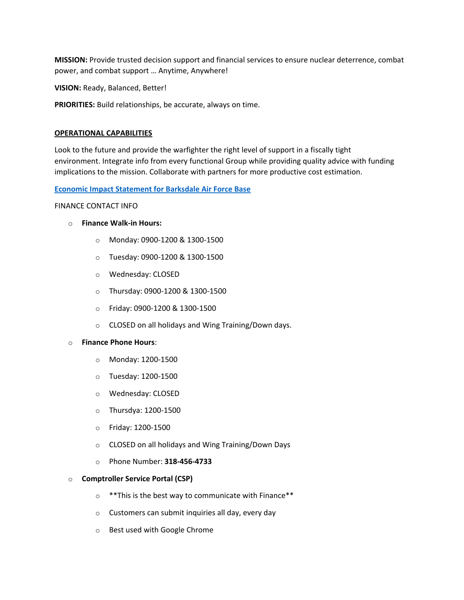**MISSION:** Provide trusted decision support and financial services to ensure nuclear deterrence, combat power, and combat support … Anytime, Anywhere!

**VISION:** Ready, Balanced, Better!

**PRIORITIES:** Build relationships, be accurate, always on time.

# **OPERATIONAL CAPABILITIES**

Look to the future and provide the warfighter the right level of support in a fiscally tight environment. Integrate info from every functional Group while providing quality advice with funding implications to the mission. Collaborate with partners for more productive cost estimation.

# **Economic Impact [Statement for Barksdale](https://www.barksdale.af.mil/Portals/52/Library/FY2020%20Economic%20Impact%20Analysis.pdf?ver=cYxl6T6QYQ2nhxTzbCTyAQ%3d%3d×tamp=1629315635177) Air Force Base**

# FINANCE CONTACT INFO

- o **Finance Walk-in Hours:**
	- o Monday: 0900-1200 & 1300-1500
	- o Tuesday: 0900-1200 & 1300-1500
	- o Wednesday: CLOSED
	- o Thursday: 0900-1200 & 1300-1500
	- o Friday: 0900-1200 & 1300-1500
	- o CLOSED on all holidays and Wing Training/Down days.

# o **Finance Phone Hours**:

- o Monday: 1200-1500
- o Tuesday: 1200-1500
- o Wednesday: CLOSED
- o Thursdya: 1200-1500
- o Friday: 1200-1500
- o CLOSED on all holidays and Wing Training/Down Days
- o Phone Number: **318-456-4733**

# o **Comptroller Service Portal (CSP)**

- o \*\*This is the best way to communicate with Finance\*\*
- o Customers can submit inquiries all day, every day
- o Best used with Google Chrome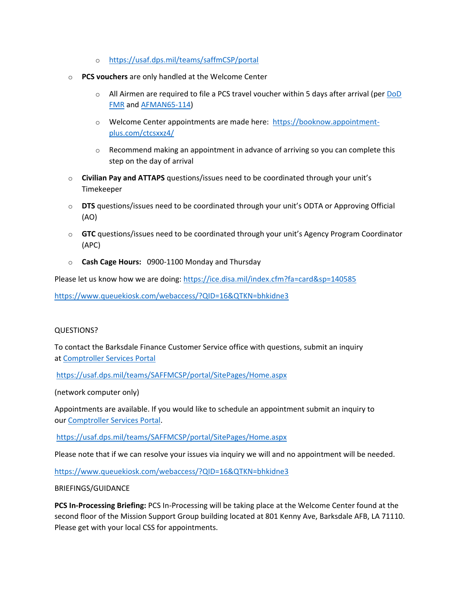- o <https://usaf.dps.mil/teams/saffmCSP/portal>
- o **PCS vouchers** are only handled at the Welcome Center
	- $\circ$  All Airmen are required to file a PCS travel voucher within 5 days after arrival (per DoD [FMR](https://comptroller.defense.gov/portals/45/documents/fmr/archive/09arch/09_08.pdf) and [AFMAN65-114\)](https://static.e-publishing.af.mil/production/1/saf_fm/publication/afman65-114/afman65-114.pdf)
	- o Welcome Center appointments are made here: [https://booknow.appointment](https://booknow.appointment-plus.com/ctcsxxz4/)[plus.com/ctcsxxz4/](https://booknow.appointment-plus.com/ctcsxxz4/)
	- $\circ$  Recommend making an appointment in advance of arriving so you can complete this step on the day of arrival
- o **Civilian Pay and ATTAPS** questions/issues need to be coordinated through your unit's Timekeeper
- o **DTS** questions/issues need to be coordinated through your unit's ODTA or Approving Official (AO)
- o **GTC** questions/issues need to be coordinated through your unit's Agency Program Coordinator (APC)
- o **Cash Cage Hours:** 0900-1100 Monday and Thursday

Please let us know how we are doing: <https://ice.disa.mil/index.cfm?fa=card&sp=140585>

<https://www.queuekiosk.com/webaccess/?QID=16&QTKN=bhkidne3>

# QUESTIONS?

To contact the Barksdale Finance Customer Service office with questions, submit an inquiry at [Comptroller Services Portal](https://usaf.dps.mil/teams/SAFFMCSP/portal/SitePages/Home.aspx)

<https://usaf.dps.mil/teams/SAFFMCSP/portal/SitePages/Home.aspx>

(network computer only)

Appointments are available. If you would like to schedule an appointment submit an inquiry to our [Comptroller Services](https://usaf.dps.mil/teams/SAFFMCSP/portal/SitePages/Home.aspx) Portal.

<https://usaf.dps.mil/teams/SAFFMCSP/portal/SitePages/Home.aspx>

Please note that if we can resolve your issues via inquiry we will and no appointment will be needed.

<https://www.queuekiosk.com/webaccess/?QID=16&QTKN=bhkidne3>

BRIEFINGS/GUIDANCE

**PCS In-Processing Briefing:** PCS In-Processing will be taking place at the Welcome Center found at the second floor of the Mission Support Group building located at 801 Kenny Ave, Barksdale AFB, LA 71110. Please get with your local CSS for appointments.